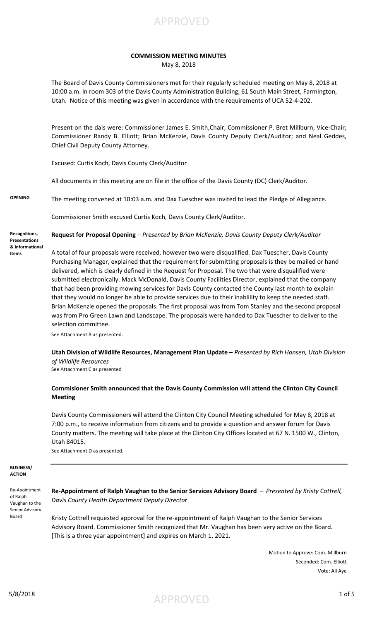

## **COMMISSION MEETING MINUTES**

May 8, 2018

The Board of Davis County Commissioners met for their regularly scheduled meeting on May 8, 2018 at 10:00 a.m. in room 303 of the Davis County Administration Building, 61 South Main Street, Farmington, Utah. Notice of this meeting was given in accordance with the requirements of UCA 52-4-202.

Present on the dais were: Commissioner James E. Smith,Chair; Commissioner P. Bret Millburn, Vice-Chair; Commissioner Randy B. Elliott; Brian McKenzie, Davis County Deputy Clerk/Auditor; and Neal Geddes, Chief Civil Deputy County Attorney.

Excused: Curtis Koch, Davis County Clerk/Auditor

All documents in this meeting are on file in the office of the Davis County (DC) Clerk/Auditor.

**OPENING** The meeting convened at 10:03 a.m. and Dax Tuescher was invited to lead the Pledge of Allegiance.

Commissioner Smith excused Curtis Koch, Davis County Clerk/Auditor.

**Request for Proposal Opening** – *Presented by Brian McKenzie, Davis County Deputy Clerk/Auditor* **Recognitions, Presentations & Informational** 

**Items**

A total of four proposals were received, however two were disqualified. Dax Tuescher, Davis County Purchasing Manager, explained that the requirement for submitting proposals is they be mailed or hand delivered, which is clearly defined in the Request for Proposal. The two that were disqualified were submitted electronically. Mack McDonald, Davis County Facilities Director, explained that the company that had been providing mowing services for Davis County contacted the County last month to explain that they would no longer be able to provide services due to their inablility to keep the needed staff. Brian McKenzie opened the proposals. The first proposal was from Tom Stanley and the second proposal was from Pro Green Lawn and Landscape. The proposals were handed to Dax Tuescher to deliver to the selection committee.

See Attachment B as presented.

**Utah Division of Wildlife Resources, Management Plan Update –** *Presented by Rich Hansen, Utah Division of Wildlife Resources*

See Attachment C as presented

### **Commisioner Smith announced that the Davis County Commission will attend the Clinton City Council Meeting**

Davis County Commissioners will attend the Clinton City Council Meeting scheduled for May 8, 2018 at 7:00 p.m., to receive information from citizens and to provide a question and answer forum for Davis County matters. The meeting will take place at the Clinton City Offices located at 67 N. 1500 W., Clinton, Utah 84015.

See Attachment D as presented.

#### **BUSINESS/ ACTION**

Re-Apointment of Ralph Vaughan to the Senior Advisory Board

**Re-Appointment of Ralph Vaughan to the Senior Services Advisory Board** – *Presented by Kristy Cottrell, Davis County Health Department Deputy Director*

Kristy Cottrell requested approval for the re-appointment of Ralph Vaughan to the Senior Services Advisory Board. Commissioner Smith recognized that Mr. Vaughan has been very active on the Board. [This is a three year appointment] and expires on March 1, 2021.

> Motion to Approve: Com. Millburn Seconded: Com. Elliott Vote: All Aye

 $5/8/2018$  1 of 5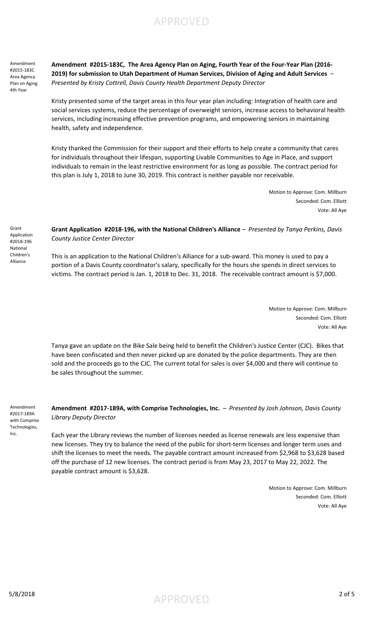APPROVED

Amendment #2015-183C Area Agency Plan on Aging 4th Year

**Amendment #2015-183C, The Area Agency Plan on Aging, Fourth Year of the Four-Year Plan (2016- 2019) for submission to Utah Department of Human Services, Division of Aging and Adult Services** – *Presented by Kristy Cottrell, Davis County Health Department Deputy Director* 

Kristy presented some of the target areas in this four year plan including: Integration of health care and social services systems, reduce the percentage of overweight seniors, increase access to behavioral health services, including increasing effective prevention programs, and empowering seniors in maintaining health, safety and independence.

Kristy thanked the Commission for their support and their efforts to help create a community that cares for individuals throughout their lifespan, supporting Livable Communities to Age in Place, and support individuals to remain in the least restrictive environment for as long as possible. The contract period for this plan is July 1, 2018 to June 30, 2019. This contract is neither payable nor receivable.

> Motion to Approve: Com. Millburn Seconded: Com. Elliott Vote: All Aye

Grant Application #2018-196 National Children's Alliance

Amendment #2017-189A

Technologies, Inc.

### **Grant Application #2018-196, with the National Children's Alliance** – *Presented by Tanya Perkins, Davis County Justice Center Director*

This is an application to the National Children's Alliance for a sub-award. This money is used to pay a portion of a Davis County coordinator's salary, specifically for the hours she spends in direct services to victims. The contract period is Jan. 1, 2018 to Dec. 31, 2018. The receivable contract amount is \$7,000.

> Motion to Approve: Com. Millburn Seconded: Com. Elliott Vote: All Aye

Tanya gave an update on the Bike Sale being held to benefit the Children's Justice Center (CJC). Bikes that have been confiscated and then never picked up are donated by the police departments. They are then sold and the proceeds go to the CJC. The current total for sales is over \$4,000 and there will continue to be sales throughout the summer.

**Amendment #2017-189A, with Comprise Technologies, Inc.** – *Presented by Josh Johnson, Davis County Library Deputy Director* with Comprise

> Each year the Library reviews the number of licenses needed as license renewals are less expensive than new licenses. They try to balance the need of the public for short-term licenses and longer term uses and shift the licenses to meet the needs. The payable contract amount increased from \$2,968 to \$3,628 based off the purchase of 12 new licenses. The contract period is from May 23, 2017 to May 22, 2022. The payable contract amount is \$3,628.

> > Motion to Approve: Com. Millburn Seconded: Com. Elliott Vote: All Aye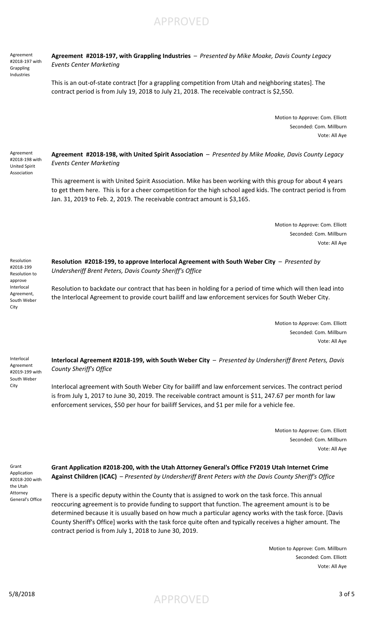APPROVED

Agreement #2018-197 with Grappling Industries

**Agreement #2018-197, with Grappling Industries** – *Presented by Mike Moake, Davis County Legacy Events Center Marketing*

This is an out-of-state contract [for a grappling competition from Utah and neighboring states]. The contract period is from July 19, 2018 to July 21, 2018. The receivable contract is \$2,550.

> Motion to Approve: Com. Elliott Seconded: Com. Millburn Vote: All Aye

Agreement #2018-198 with United Spirit Association

**Agreement #2018-198, with United Spirit Association** – *Presented by Mike Moake, Davis County Legacy Events Center Marketing* 

This agreement is with United Spirit Association. Mike has been working with this group for about 4 years to get them here. This is for a cheer competition for the high school aged kids. The contract period is from Jan. 31, 2019 to Feb. 2, 2019. The receivable contract amount is \$3,165.

> Motion to Approve: Com. Elliott Seconded: Com. Millburn Vote: All Aye

Resolution #2018-199 Resolution to approve Interlocal Agreement, South Weber City

**Resolution #2018-199, to approve Interlocal Agreement with South Weber City** – *Presented by Undersheriff Brent Peters, Davis County Sheriff's Office*

Resolution to backdate our contract that has been in holding for a period of time which will then lead into the Interlocal Agreement to provide court bailiff and law enforcement services for South Weber City.

> Motion to Approve: Com. Elliott Seconded: Com. Millburn Vote: All Aye

Interlocal Agreement #2019-199 with South Weber City

**Interlocal Agreement #2018-199, with South Weber City** – *Presented by Undersheriff Brent Peters, Davis County Sheriff's Office*

Interlocal agreement with South Weber City for bailiff and law enforcement services. The contract period is from July 1, 2017 to June 30, 2019. The receivable contract amount is \$11, 247.67 per month for law enforcement services, \$50 per hour for bailiff Services, and \$1 per mile for a vehicle fee.

> Motion to Approve: Com. Elliott Seconded: Com. Millburn Vote: All Aye

Grant Application #2018-200 with the Utah Attorney General's Office **Grant Application #2018-200, with the Utah Attorney General's Office FY2019 Utah Internet Crime Against Children (ICAC)** – *Presented by Undersheriff Brent Peters with the Davis County Sheriff's Office*

There is a specific deputy within the County that is assigned to work on the task force. This annual reoccuring agreement is to provide funding to support that function. The agreement amount is to be determined because it is usually based on how much a particular agency works with the task force. [Davis County Sheriff's Office] works with the task force quite often and typically receives a higher amount. The contract period is from July 1, 2018 to June 30, 2019.

> Motion to Approve: Com. Millburn Seconded: Com. Elliott Vote: All Aye

 $\mathsf{S}/\mathsf{8}/2018$  3 of 5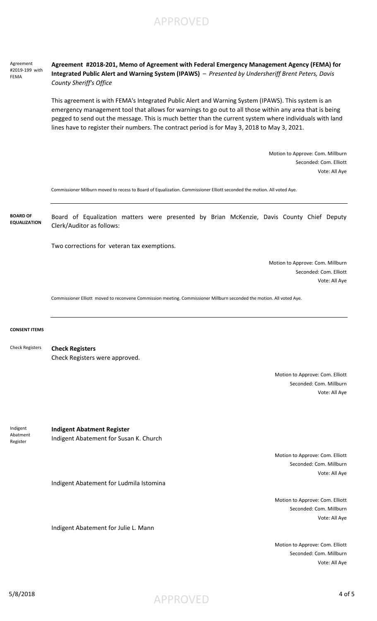# APPROVED

Agreement #2019-199 with FEMA

**Agreement #2018-201, Memo of Agreement with Federal Emergency Management Agency (FEMA) for Integrated Public Alert and Warning System (IPAWS)** – *Presented by Undersheriff Brent Peters, Davis County Sheriff's Office*

This agreement is with FEMA's Integrated Public Alert and Warning System (IPAWS). This system is an emergency management tool that allows for warnings to go out to all those within any area that is being pegged to send out the message. This is much better than the current system where individuals with land lines have to register their numbers. The contract period is for May 3, 2018 to May 3, 2021.

> Motion to Approve: Com. Millburn Seconded: Com. Elliott Vote: All Aye

Commissioner Milburn moved to recess to Board of Equalization. Commissioner Elliott seconded the motion. All voted Aye.

Board of Equalization matters were presented by Brian McKenzie, Davis County Chief Deputy Clerk/Auditor as follows: **BOARD OF EQUALIZATION**

Two corrections for veteran tax exemptions.

Motion to Approve: Com. Millburn Seconded: Com. Elliott Vote: All Aye

Commissioner Elliott moved to reconvene Commission meeting. Commissioner Millburn seconded the motion. All voted Aye.

### **CONSENT ITEMS**

**Check Registers** Check Registers were approved. Check Registers

> Motion to Approve: Com. Elliott Seconded: Com. Millburn Vote: All Aye

Indigent Abatment Register

**Indigent Abatment Register** Indigent Abatement for Susan K. Church

Indigent Abatement for Ludmila Istomina

Indigent Abatement for Julie L. Mann

Motion to Approve: Com. Elliott Seconded: Com. Millburn Vote: All Aye

Motion to Approve: Com. Elliott Seconded: Com. Millburn Vote: All Aye

Motion to Approve: Com. Elliott Seconded: Com. Millburn Vote: All Aye

 $5/8/2018$  4 of 5